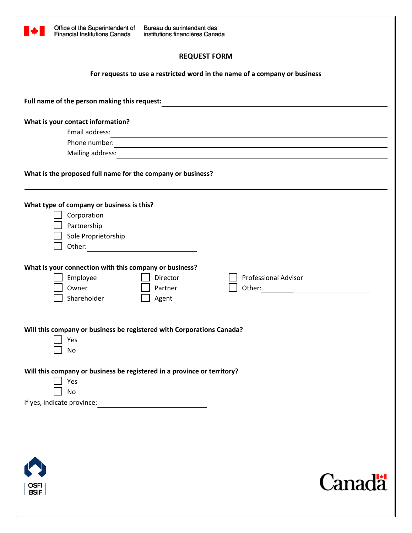

Bureau du surintendant des institutions financières Canada

## **REQUEST FORM**

**For requests to use a restricted word in the name of a company or business** 

| Full name of the person making this request:                                                                                                                                                                                   |
|--------------------------------------------------------------------------------------------------------------------------------------------------------------------------------------------------------------------------------|
|                                                                                                                                                                                                                                |
| What is your contact information?                                                                                                                                                                                              |
| Email address:<br><u> 1989 - Johann Stoff, deutscher Stoff, der Stoff, der Stoff, der Stoff, der Stoff, der Stoff, der Stoff, der S</u>                                                                                        |
| Phone number:<br>and the control of the control of the control of the control of the control of the control of the control of the                                                                                              |
| Mailing address: National Communication of the contract of the contract of the contract of the contract of the contract of the contract of the contract of the contract of the contract of the contract of the contract of the |
| What is the proposed full name for the company or business?                                                                                                                                                                    |
| What type of company or business is this?<br>Corporation<br>Partnership<br>Sole Proprietorship                                                                                                                                 |
| What is your connection with this company or business?<br><b>Professional Advisor</b><br>Employee<br>Director<br>Owner<br>Partner<br>Shareholder<br>Agent                                                                      |
| Will this company or business be registered with Corporations Canada?<br>Yes<br><b>No</b>                                                                                                                                      |
| Will this company or business be registered in a province or territory?<br>Yes<br>N <sub>o</sub><br>If yes, indicate province:<br><u> 1989 - Andrea Station Books, amerikansk politiker (</u>                                  |